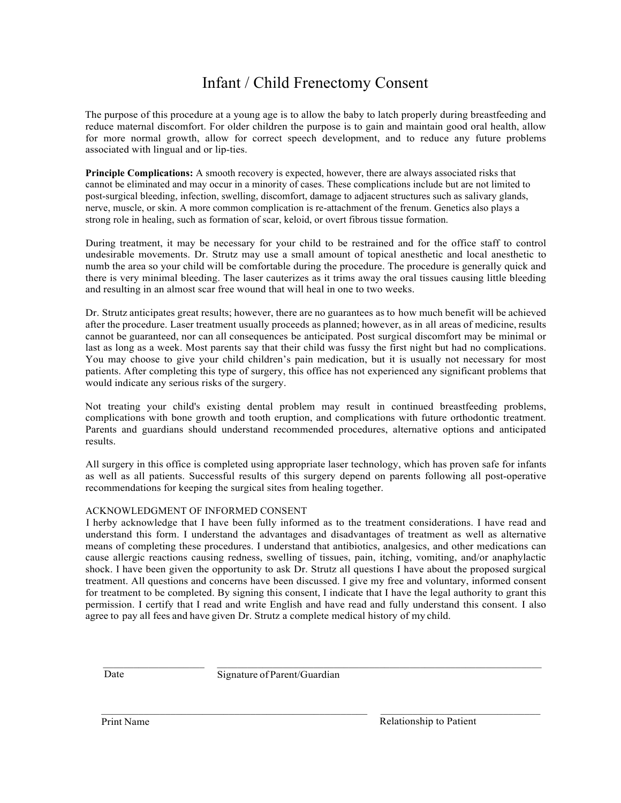## Infant / Child Frenectomy Consent

The purpose of this procedure at a young age is to allow the baby to latch properly during breastfeeding and reduce maternal discomfort. For older children the purpose is to gain and maintain good oral health, allow for more normal growth, allow for correct speech development, and to reduce any future problems associated with lingual and or lip-ties.

**Principle Complications:** A smooth recovery is expected, however, there are always associated risks that cannot be eliminated and may occur in a minority of cases. These complications include but are not limited to post-surgical bleeding, infection, swelling, discomfort, damage to adjacent structures such as salivary glands, nerve, muscle, or skin. A more common complication is re-attachment of the frenum. Genetics also plays a strong role in healing, such as formation of scar, keloid, or overt fibrous tissue formation.

During treatment, it may be necessary for your child to be restrained and for the office staff to control undesirable movements. Dr. Strutz may use a small amount of topical anesthetic and local anesthetic to numb the area so your child will be comfortable during the procedure. The procedure is generally quick and there is very minimal bleeding. The laser cauterizes as it trims away the oral tissues causing little bleeding and resulting in an almost scar free wound that will heal in one to two weeks.

Dr. Strutz anticipates great results; however, there are no guarantees as to how much benefit will be achieved after the procedure. Laser treatment usually proceeds as planned; however, as in all areas of medicine, results cannot be guaranteed, nor can all consequences be anticipated. Post surgical discomfort may be minimal or last as long as a week. Most parents say that their child was fussy the first night but had no complications. You may choose to give your child children's pain medication, but it is usually not necessary for most patients. After completing this type of surgery, this office has not experienced any significant problems that would indicate any serious risks of the surgery.

Not treating your child's existing dental problem may result in continued breastfeeding problems, complications with bone growth and tooth eruption, and complications with future orthodontic treatment. Parents and guardians should understand recommended procedures, alternative options and anticipated results.

All surgery in this office is completed using appropriate laser technology, which has proven safe for infants as well as all patients. Successful results of this surgery depend on parents following all post-operative recommendations for keeping the surgical sites from healing together.

## ACKNOWLEDGMENT OF INFORMED CONSENT

I herby acknowledge that I have been fully informed as to the treatment considerations. I have read and understand this form. I understand the advantages and disadvantages of treatment as well as alternative means of completing these procedures. I understand that antibiotics, analgesics, and other medications can cause allergic reactions causing redness, swelling of tissues, pain, itching, vomiting, and/or anaphylactic shock. I have been given the opportunity to ask Dr. Strutz all questions I have about the proposed surgical treatment. All questions and concerns have been discussed. I give my free and voluntary, informed consent for treatment to be completed. By signing this consent, I indicate that I have the legal authority to grant this permission. I certify that I read and write English and have read and fully understand this consent. I also agree to pay all fees and have given Dr. Strutz a complete medical history of my child.

Date Signature of Parent/Guardian